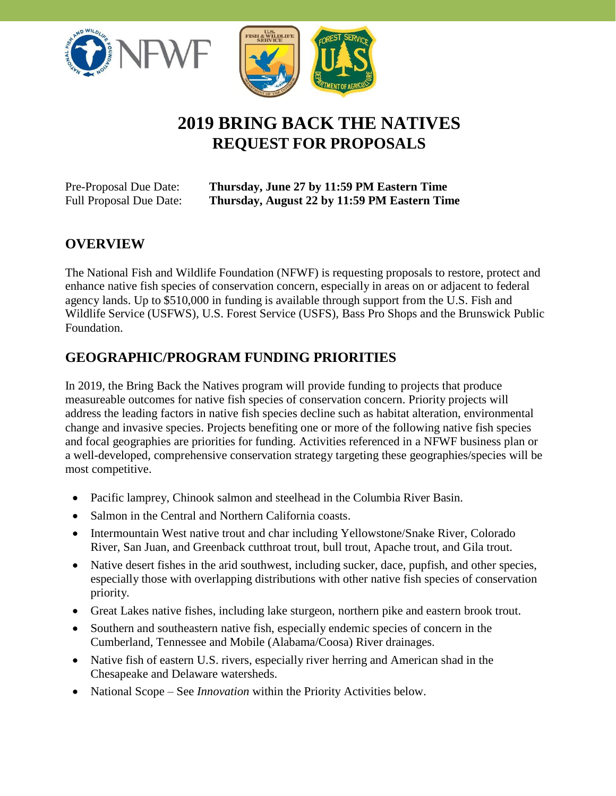



# **2019 BRING BACK THE NATIVES REQUEST FOR PROPOSALS**

| Pre-Proposal Due Date:         |
|--------------------------------|
| <b>Full Proposal Due Date:</b> |

**Thursday, June 27 by 11:59 PM Eastern Time** Full Proposal Due Date: **Thursday, August 22 by 11:59 PM Eastern Time**

# **OVERVIEW**

The National Fish and Wildlife Foundation (NFWF) is requesting proposals to restore, protect and enhance native fish species of conservation concern, especially in areas on or adjacent to federal agency lands. Up to \$510,000 in funding is available through support from the U.S. Fish and Wildlife Service (USFWS), U.S. Forest Service (USFS), Bass Pro Shops and the Brunswick Public Foundation.

#### **GEOGRAPHIC/PROGRAM FUNDING PRIORITIES**

In 2019, the Bring Back the Natives program will provide funding to projects that produce measureable outcomes for native fish species of conservation concern. Priority projects will address the leading factors in native fish species decline such as habitat alteration, environmental change and invasive species. Projects benefiting one or more of the following native fish species and focal geographies are priorities for funding. Activities referenced in a NFWF business plan or a well-developed, comprehensive conservation strategy targeting these geographies/species will be most competitive.

- Pacific lamprey, Chinook salmon and steelhead in the Columbia River Basin.
- Salmon in the Central and Northern California coasts.
- Intermountain West native trout and char including Yellowstone/Snake River, Colorado River, San Juan, and Greenback cutthroat trout, bull trout, Apache trout, and Gila trout.
- Native desert fishes in the arid southwest, including sucker, dace, pupfish, and other species, especially those with overlapping distributions with other native fish species of conservation priority.
- Great Lakes native fishes, including lake sturgeon, northern pike and eastern brook trout.
- Southern and southeastern native fish, especially endemic species of concern in the Cumberland, Tennessee and Mobile (Alabama/Coosa) River drainages.
- Native fish of eastern U.S. rivers, especially river herring and American shad in the Chesapeake and Delaware watersheds.
- National Scope See *Innovation* within the Priority Activities below.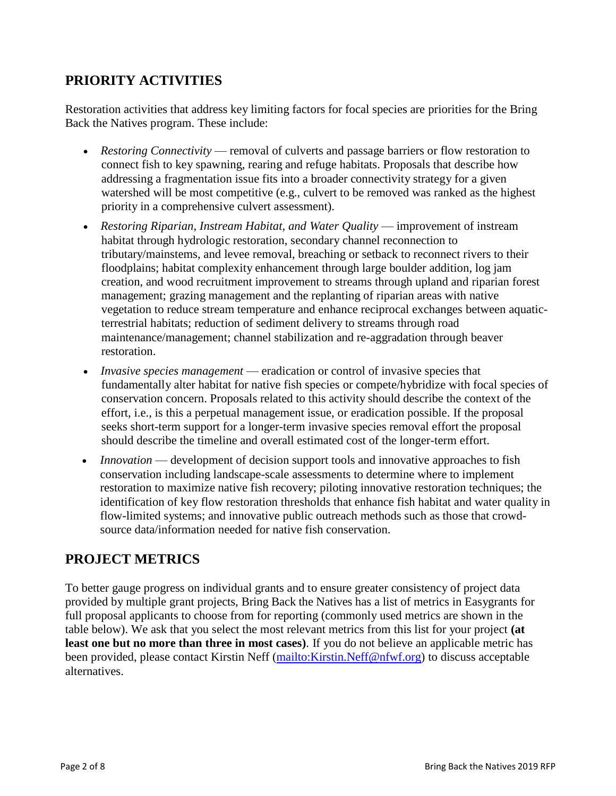#### **PRIORITY ACTIVITIES**

Restoration activities that address key limiting factors for focal species are priorities for the Bring Back the Natives program. These include:

- *Restoring Connectivity*  removal of culverts and passage barriers or flow restoration to connect fish to key spawning, rearing and refuge habitats. Proposals that describe how addressing a fragmentation issue fits into a broader connectivity strategy for a given watershed will be most competitive (e.g., culvert to be removed was ranked as the highest priority in a comprehensive culvert assessment).
- *Restoring Riparian, Instream Habitat, and Water Quality* improvement of instream habitat through hydrologic restoration, secondary channel reconnection to tributary/mainstems, and levee removal, breaching or setback to reconnect rivers to their floodplains; habitat complexity enhancement through large boulder addition, log jam creation, and wood recruitment improvement to streams through upland and riparian forest management; grazing management and the replanting of riparian areas with native vegetation to reduce stream temperature and enhance reciprocal exchanges between aquaticterrestrial habitats; reduction of sediment delivery to streams through road maintenance/management; channel stabilization and re-aggradation through beaver restoration.
- *Invasive species management* eradication or control of invasive species that fundamentally alter habitat for native fish species or compete/hybridize with focal species of conservation concern. Proposals related to this activity should describe the context of the effort, i.e., is this a perpetual management issue, or eradication possible. If the proposal seeks short-term support for a longer-term invasive species removal effort the proposal should describe the timeline and overall estimated cost of the longer-term effort.
- *Innovation* development of decision support tools and innovative approaches to fish conservation including landscape-scale assessments to determine where to implement restoration to maximize native fish recovery; piloting innovative restoration techniques; the identification of key flow restoration thresholds that enhance fish habitat and water quality in flow-limited systems; and innovative public outreach methods such as those that crowdsource data/information needed for native fish conservation.

# **PROJECT METRICS**

To better gauge progress on individual grants and to ensure greater consistency of project data provided by multiple grant projects, Bring Back the Natives has a list of metrics in Easygrants for full proposal applicants to choose from for reporting (commonly used metrics are shown in the table below). We ask that you select the most relevant metrics from this list for your project **(at least one but no more than three in most cases)**. If you do not believe an applicable metric has been provided, please contact Kirstin Neff (mailto: Kirstin. Neff@nfwf.org) to discuss acceptable alternatives.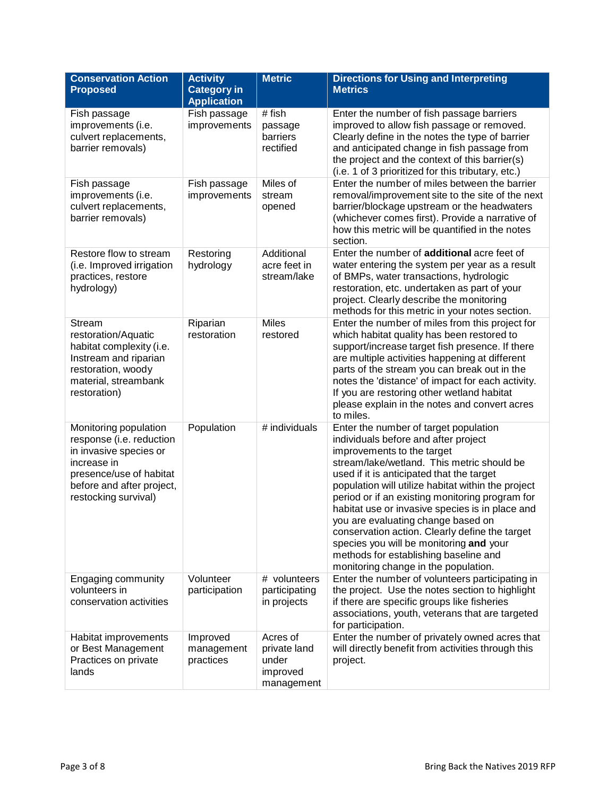| <b>Conservation Action</b><br><b>Proposed</b>                                                                                                                              | <b>Activity</b><br><b>Category in</b><br><b>Application</b> | <b>Metric</b>                                               | <b>Directions for Using and Interpreting</b><br><b>Metrics</b>                                                                                                                                                                                                                                                                                                                                                                                                                                                                                                                         |
|----------------------------------------------------------------------------------------------------------------------------------------------------------------------------|-------------------------------------------------------------|-------------------------------------------------------------|----------------------------------------------------------------------------------------------------------------------------------------------------------------------------------------------------------------------------------------------------------------------------------------------------------------------------------------------------------------------------------------------------------------------------------------------------------------------------------------------------------------------------------------------------------------------------------------|
| Fish passage<br>improvements (i.e.<br>culvert replacements,<br>barrier removals)                                                                                           | Fish passage<br>improvements                                | # fish<br>passage<br>barriers<br>rectified                  | Enter the number of fish passage barriers<br>improved to allow fish passage or removed.<br>Clearly define in the notes the type of barrier<br>and anticipated change in fish passage from<br>the project and the context of this barrier(s)<br>(i.e. 1 of 3 prioritized for this tributary, etc.)                                                                                                                                                                                                                                                                                      |
| Fish passage<br>improvements (i.e.<br>culvert replacements,<br>barrier removals)                                                                                           | Fish passage<br>improvements                                | Miles of<br>stream<br>opened                                | Enter the number of miles between the barrier<br>removal/improvement site to the site of the next<br>barrier/blockage upstream or the headwaters<br>(whichever comes first). Provide a narrative of<br>how this metric will be quantified in the notes<br>section.                                                                                                                                                                                                                                                                                                                     |
| Restore flow to stream<br>(i.e. Improved irrigation<br>practices, restore<br>hydrology)                                                                                    | Restoring<br>hydrology                                      | Additional<br>acre feet in<br>stream/lake                   | Enter the number of additional acre feet of<br>water entering the system per year as a result<br>of BMPs, water transactions, hydrologic<br>restoration, etc. undertaken as part of your<br>project. Clearly describe the monitoring<br>methods for this metric in your notes section.                                                                                                                                                                                                                                                                                                 |
| Stream<br>restoration/Aquatic<br>habitat complexity (i.e.<br>Instream and riparian<br>restoration, woody<br>material, streambank<br>restoration)                           | Riparian<br>restoration                                     | <b>Miles</b><br>restored                                    | Enter the number of miles from this project for<br>which habitat quality has been restored to<br>support/increase target fish presence. If there<br>are multiple activities happening at different<br>parts of the stream you can break out in the<br>notes the 'distance' of impact for each activity.<br>If you are restoring other wetland habitat<br>please explain in the notes and convert acres<br>to miles.                                                                                                                                                                    |
| Monitoring population<br>response (i.e. reduction<br>in invasive species or<br>increase in<br>presence/use of habitat<br>before and after project,<br>restocking survival) | Population                                                  | # individuals                                               | Enter the number of target population<br>individuals before and after project<br>improvements to the target<br>stream/lake/wetland. This metric should be<br>used if it is anticipated that the target<br>population will utilize habitat within the project<br>period or if an existing monitoring program for<br>habitat use or invasive species is in place and<br>you are evaluating change based on<br>conservation action. Clearly define the target<br>species you will be monitoring and your<br>methods for establishing baseline and<br>monitoring change in the population. |
| Engaging community<br>volunteers in<br>conservation activities                                                                                                             | Volunteer<br>participation                                  | # volunteers<br>participating<br>in projects                | Enter the number of volunteers participating in<br>the project. Use the notes section to highlight<br>if there are specific groups like fisheries<br>associations, youth, veterans that are targeted<br>for participation.                                                                                                                                                                                                                                                                                                                                                             |
| Habitat improvements<br>or Best Management<br>Practices on private<br>lands                                                                                                | Improved<br>management<br>practices                         | Acres of<br>private land<br>under<br>improved<br>management | Enter the number of privately owned acres that<br>will directly benefit from activities through this<br>project.                                                                                                                                                                                                                                                                                                                                                                                                                                                                       |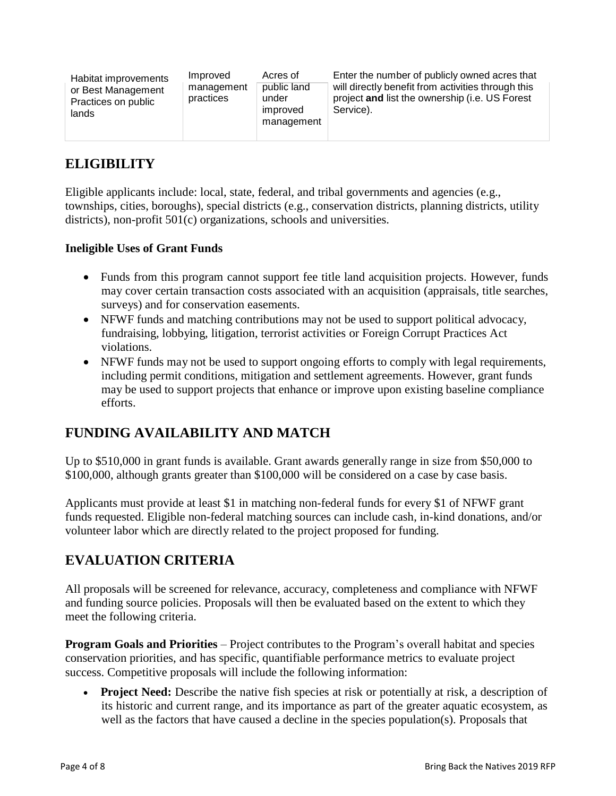| Habitat improvements<br>or Best Management<br>Practices on public<br>lands | Improved<br>management<br>practices | Acres of<br>public land<br>under<br>improved<br>management | Enter the number of publicly owned acres that<br>will directly benefit from activities through this<br>project and list the ownership (i.e. US Forest<br>Service). |
|----------------------------------------------------------------------------|-------------------------------------|------------------------------------------------------------|--------------------------------------------------------------------------------------------------------------------------------------------------------------------|
|                                                                            |                                     |                                                            |                                                                                                                                                                    |

#### **ELIGIBILITY**

Eligible applicants include: local, state, federal, and tribal governments and agencies (e.g., townships, cities, boroughs), special districts (e.g., conservation districts, planning districts, utility districts), non-profit 501(c) organizations, schools and universities.

#### **Ineligible Uses of Grant Funds**

- Funds from this program cannot support fee title land acquisition projects. However, funds may cover certain transaction costs associated with an acquisition (appraisals, title searches, surveys) and for conservation easements.
- NFWF funds and matching contributions may not be used to support political advocacy, fundraising, lobbying, litigation, terrorist activities or Foreign Corrupt Practices Act violations.
- NFWF funds may not be used to support ongoing efforts to comply with legal requirements, including permit conditions, mitigation and settlement agreements. However, grant funds may be used to support projects that enhance or improve upon existing baseline compliance efforts.

# **FUNDING AVAILABILITY AND MATCH**

Up to \$510,000 in grant funds is available. Grant awards generally range in size from \$50,000 to \$100,000, although grants greater than \$100,000 will be considered on a case by case basis.

Applicants must provide at least \$1 in matching non-federal funds for every \$1 of NFWF grant funds requested. Eligible non-federal matching sources can include cash, in-kind donations, and/or volunteer labor which are directly related to the project proposed for funding.

# **EVALUATION CRITERIA**

All proposals will be screened for relevance, accuracy, completeness and compliance with NFWF and funding source policies. Proposals will then be evaluated based on the extent to which they meet the following criteria.

**Program Goals and Priorities** – Project contributes to the Program's overall habitat and species conservation priorities, and has specific, quantifiable performance metrics to evaluate project success. Competitive proposals will include the following information:

• **Project Need:** Describe the native fish species at risk or potentially at risk, a description of its historic and current range, and its importance as part of the greater aquatic ecosystem, as well as the factors that have caused a decline in the species population(s). Proposals that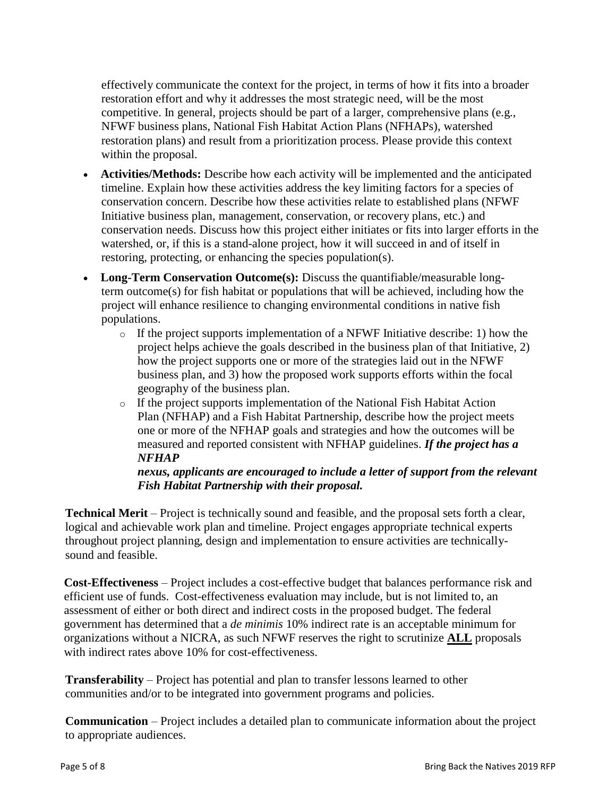effectively communicate the context for the project, in terms of how it fits into a broader restoration effort and why it addresses the most strategic need, will be the most competitive. In general, projects should be part of a larger, comprehensive plans (e.g., NFWF business plans, National Fish Habitat Action Plans (NFHAPs), watershed restoration plans) and result from a prioritization process. Please provide this context within the proposal.

- **Activities/Methods:** Describe how each activity will be implemented and the anticipated timeline. Explain how these activities address the key limiting factors for a species of conservation concern. Describe how these activities relate to established plans (NFWF Initiative business plan, management, conservation, or recovery plans, etc.) and conservation needs. Discuss how this project either initiates or fits into larger efforts in the watershed, or, if this is a stand-alone project, how it will succeed in and of itself in restoring, protecting, or enhancing the species population(s).
- **Long-Term Conservation Outcome(s):** Discuss the quantifiable/measurable longterm outcome(s) for fish habitat or populations that will be achieved, including how the project will enhance resilience to changing environmental conditions in native fish populations.
	- $\circ$  If the project supports implementation of a NFWF Initiative describe: 1) how the project helps achieve the goals described in the business plan of that Initiative, 2) how the project supports one or more of the strategies laid out in the NFWF business plan, and 3) how the proposed work supports efforts within the focal geography of the business plan.
	- o If the project supports implementation of the National Fish Habitat Action Plan (NFHAP) and a Fish Habitat Partnership, describe how the project meets one or more of the NFHAP goals and strategies and how the outcomes will be measured and reported consistent with NFHAP guidelines. *If the project has a NFHAP*

#### *nexus, applicants are encouraged to include a letter of support from the relevant Fish Habitat Partnership with their proposal.*

**Technical Merit** – Project is technically sound and feasible, and the proposal sets forth a clear, logical and achievable work plan and timeline. Project engages appropriate technical experts throughout project planning, design and implementation to ensure activities are technicallysound and feasible.

**Cost-Effectiveness** – Project includes a cost-effective budget that balances performance risk and efficient use of funds. Cost-effectiveness evaluation may include, but is not limited to, an assessment of either or both direct and indirect costs in the proposed budget. The federal government has determined that a *de minimis* 10% indirect rate is an acceptable minimum for organizations without a NICRA, as such NFWF reserves the right to scrutinize **ALL** proposals with indirect rates above 10% for cost-effectiveness.

**Transferability** – Project has potential and plan to transfer lessons learned to other communities and/or to be integrated into government programs and policies.

**Communication** – Project includes a detailed plan to communicate information about the project to appropriate audiences.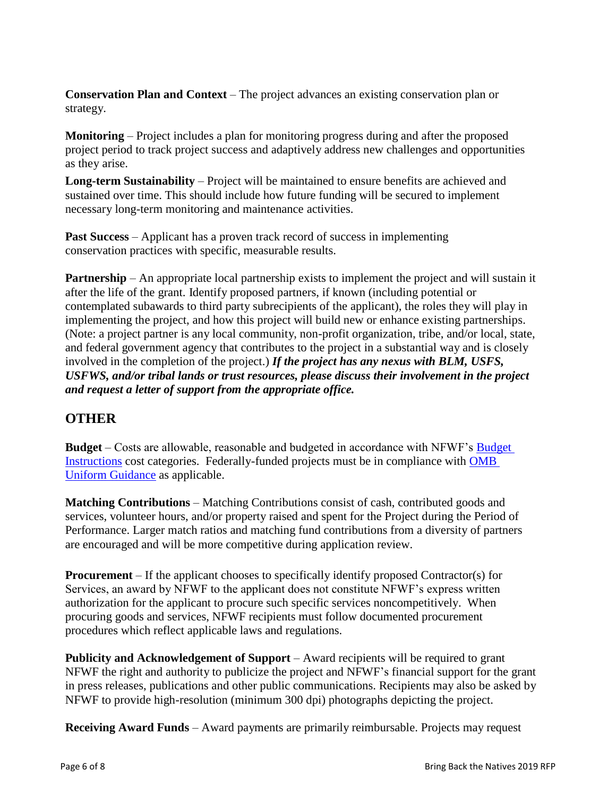**Conservation Plan and Context** – The project advances an existing conservation plan or strategy.

**Monitoring** – Project includes a plan for monitoring progress during and after the proposed project period to track project success and adaptively address new challenges and opportunities as they arise.

**Long-term Sustainability** – Project will be maintained to ensure benefits are achieved and sustained over time. This should include how future funding will be secured to implement necessary long-term monitoring and maintenance activities.

**Past Success** – Applicant has a proven track record of success in implementing conservation practices with specific, measurable results.

**Partnership** – An appropriate local partnership exists to implement the project and will sustain it after the life of the grant. Identify proposed partners, if known (including potential or contemplated subawards to third party subrecipients of the applicant), the roles they will play in implementing the project, and how this project will build new or enhance existing partnerships. (Note: a project partner is any local community, non-profit organization, tribe, and/or local, state, and federal government agency that contributes to the project in a substantial way and is closely involved in the completion of the project.) *If the project has any nexus with BLM, USFS, USFWS, and/or tribal lands or trust resources, please discuss their involvement in the project and request a letter of support from the appropriate office.*

#### **OTHER**

**Budget** – Costs are allowable, reasonable and budgeted in accordance with NFWF's [Budget](http://www.nfwf.org/whatwedo/grants/applicants/Pages/budget-instructions.aspx)  [Instructions](http://www.nfwf.org/whatwedo/grants/applicants/Pages/budget-instructions.aspx) cost categories. Federally-funded projects must be in compliance with [OMB](http://www.ecfr.gov/cgi-bin/text-idx?SID=704835d27377ef5213a51c149de40cab&node=2:1.1.2.2.1&rgn=div5)  [Uniform Guidance](http://www.ecfr.gov/cgi-bin/text-idx?SID=704835d27377ef5213a51c149de40cab&node=2:1.1.2.2.1&rgn=div5) as applicable.

**Matching Contributions** – Matching Contributions consist of cash, contributed goods and services, volunteer hours, and/or property raised and spent for the Project during the Period of Performance. Larger match ratios and matching fund contributions from a diversity of partners are encouraged and will be more competitive during application review.

**Procurement** – If the applicant chooses to specifically identify proposed Contractor(s) for Services, an award by NFWF to the applicant does not constitute NFWF's express written authorization for the applicant to procure such specific services noncompetitively. When procuring goods and services, NFWF recipients must follow documented procurement procedures which reflect applicable laws and regulations.

**Publicity and Acknowledgement of Support** – Award recipients will be required to grant NFWF the right and authority to publicize the project and NFWF's financial support for the grant in press releases, publications and other public communications. Recipients may also be asked by NFWF to provide high-resolution (minimum 300 dpi) photographs depicting the project.

**Receiving Award Funds** – Award payments are primarily reimbursable. Projects may request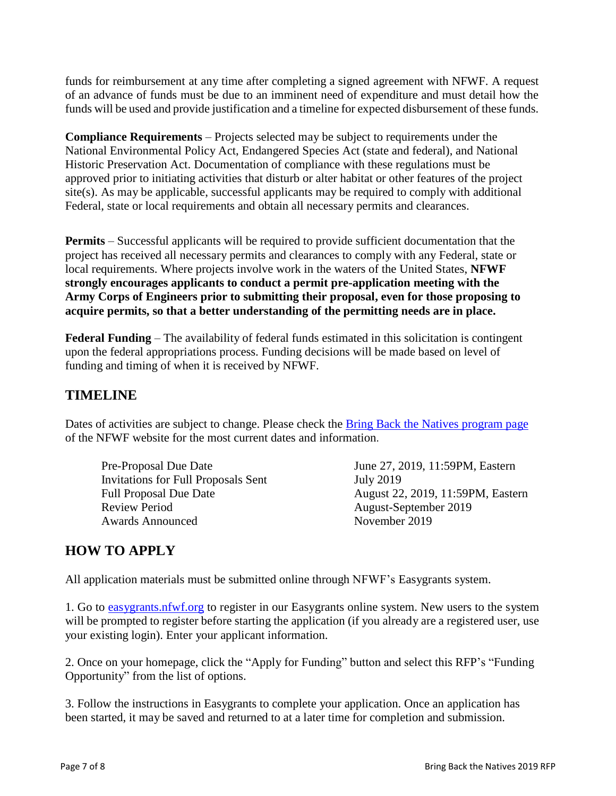funds for reimbursement at any time after completing a signed agreement with NFWF. A request of an advance of funds must be due to an imminent need of expenditure and must detail how the funds will be used and provide justification and a timeline for expected disbursement of these funds.

**Compliance Requirements** – Projects selected may be subject to requirements under the National Environmental Policy Act, Endangered Species Act (state and federal), and National Historic Preservation Act. Documentation of compliance with these regulations must be approved prior to initiating activities that disturb or alter habitat or other features of the project site(s). As may be applicable, successful applicants may be required to comply with additional Federal, state or local requirements and obtain all necessary permits and clearances.

**Permits** – Successful applicants will be required to provide sufficient documentation that the project has received all necessary permits and clearances to comply with any Federal, state or local requirements. Where projects involve work in the waters of the United States, **NFWF strongly encourages applicants to conduct a permit pre-application meeting with the Army Corps of Engineers prior to submitting their proposal, even for those proposing to acquire permits, so that a better understanding of the permitting needs are in place.**

**Federal Funding** – The availability of federal funds estimated in this solicitation is contingent upon the federal appropriations process. Funding decisions will be made based on level of funding and timing of when it is received by NFWF.

#### **TIMELINE**

Dates of activities are subject to change. Please check the [Bring Back the Natives program page](http://www.nfwf.org/bbn/Pages/home.aspx) of the NFWF website for the most current dates and information.

Pre-Proposal Due Date June 27, 2019, 11:59PM, Eastern Invitations for Full Proposals Sent July 2019 Review Period August-September 2019 Awards Announced November 2019

Full Proposal Due Date August 22, 2019, 11:59PM, Eastern

#### **HOW TO APPLY**

All application materials must be submitted online through NFWF's Easygrants system.

1. Go to [easygrants.nfwf.org](https://easygrants.nfwf.org/) to register in our Easygrants online system. New users to the system will be prompted to register before starting the application (if you already are a registered user, use your existing login). Enter your applicant information.

2. Once on your homepage, click the "Apply for Funding" button and select this RFP's "Funding Opportunity" from the list of options.

3. Follow the instructions in Easygrants to complete your application. Once an application has been started, it may be saved and returned to at a later time for completion and submission.